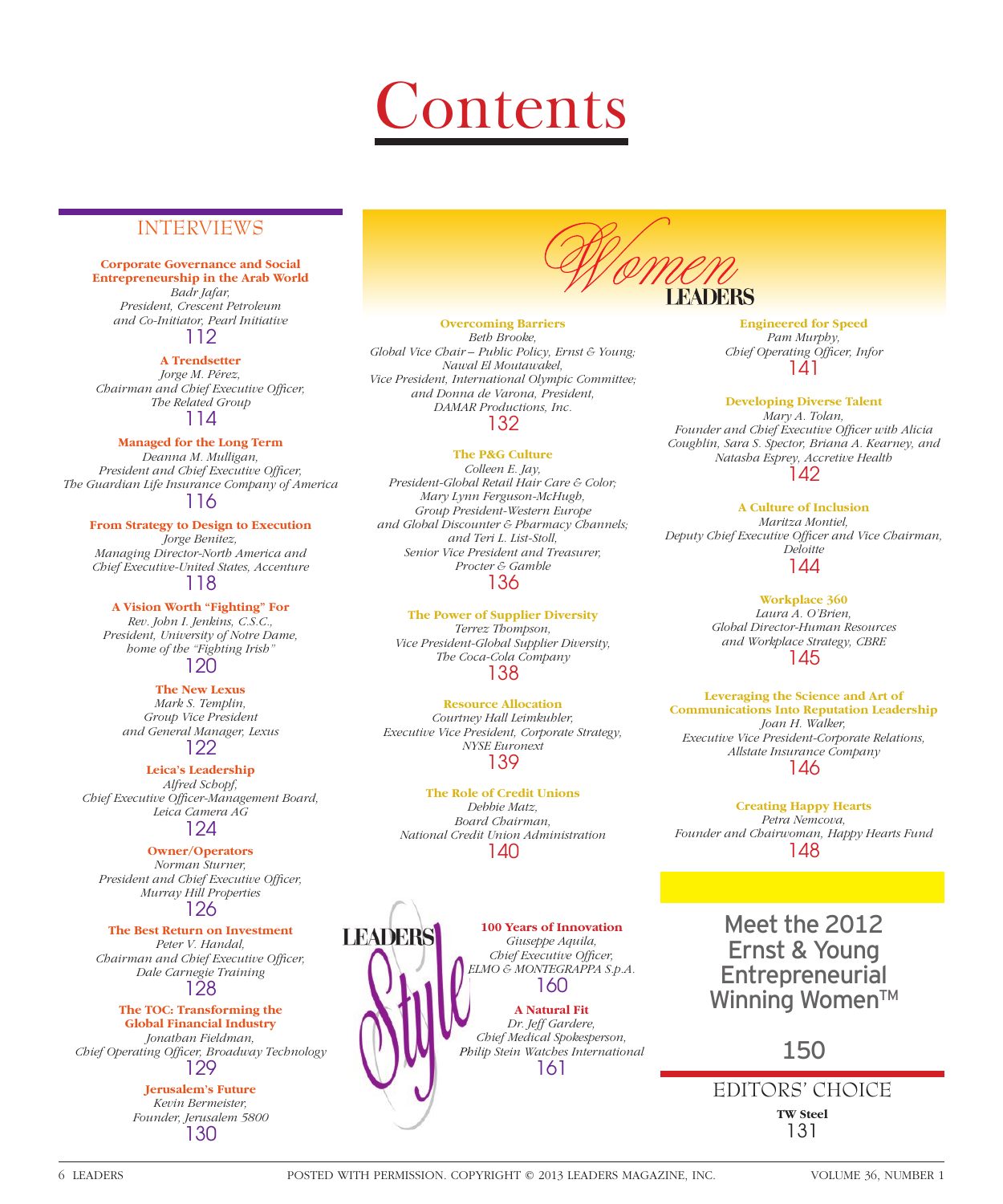

## INTERVIEWS

**Corporate Governance and Social Entrepreneurship in the Arab World** *Badr Jafar, President, Crescent Petroleum and Co-Initiator, Pearl Initiative* 112

**A Trendsetter**

*Jorge M. Pérez, Chairman and Chief Executive Officer, The Related Group* 114

**Managed for the Long Term**

*Deanna M. Mulligan, President and Chief Executive Officer, The Guardian Life Insurance Company of America* 116

**From Strategy to Design to Execution**

*Jorge Benitez, Managing Director-North America and Chief Executive-United States, Accenture* 118

**A Vision Worth "Fighting" For** *Rev. John I. Jenkins, C.S.C., President, University of Notre Dame, home of the "Fighting Irish"*

120

**The New Lexus** *Mark S. Templin, Group Vice President and General Manager, Lexus* 122

**Leica's Leadership**

*Alfred Schopf, Chief Executive Offi cer-Management Board, Leica Camera AG* 124

**Owner/Operators** *Norman Sturner, President and Chief Executive Officer, Murray Hill Properties* 126

**The Best Return on Investment** *Peter V. Handal, Chairman and Chief Executive Officer, Dale Carnegie Training* 128

**The TOC: Transforming the Global Financial Industry** *Jonathan Fieldman,*  **Chief Operating Officer, Broadway Technology** 129

> **Jerusalem's Future** *Kevin Bermeister, Founder, Jerusalem 5800* 130

**LEADERS** 

**Overcoming Barriers** *Beth Brooke, Global Vice Chair – Public Policy, Ernst & Young; Nawal El Moutawakel, Vice President, International Olympic Committee; and Donna de Varona, President, DAMAR Productions, Inc.*  132

**The P&G Culture**

*Colleen E. Jay, President-Global Retail Hair Care & Color; Mary Lynn Ferguson-McHugh, Group President-Western Europe and Global Discounter & Pharmacy Channels; and Teri L. List-Stoll, Senior Vice President and Treasurer, Procter & Gamble* 136

**The Power of Supplier Diversity** *Terrez Thompson, Vice President-Global Supplier Diversity, The Coca-Cola Company* 138

**Resource Allocation** *Courtney Hall Leimkuhler, Executive Vice President, Corporate Strategy, NYSE Euronext* 139

**The Role of Credit Unions** *Debbie Matz, Board Chairman, National Credit Union Administration* 140



**Engineered for Speed** *Pam Murphy, Chief Operating Officer, Infor* 141

**Developing Diverse Talent** *Mary A. Tolan,*  Founder and Chief Executive Officer with Alicia *Coughlin, Sara S. Spector, Briana A. Kearney, and Natasha Esprey, Accretive Health* 142

**A Culture of Inclusion** *Maritza Montiel, Deputy Chief Executive Offi cer and Vice Chairman, Deloitte* 144

> **Workplace 360** *Laura A. O'Brien, Global Director-Human Resources and Workplace Strategy, CBRE* 145

**Leveraging the Science and Art of Communications Into Reputation Leadership** *Joan H. Walker, Executive Vice President-Corporate Relations, Allstate Insurance Company* 146

**Creating Happy Hearts** *Petra Nemcova, Founder and Chairwoman, Happy Hearts Fund* 148

> Meet the 2012 Ernst & Young **Entrepreneurial** Winning Women<sup>™</sup>

> > 150

**TW Steel** 131 EDITORS' CHOICE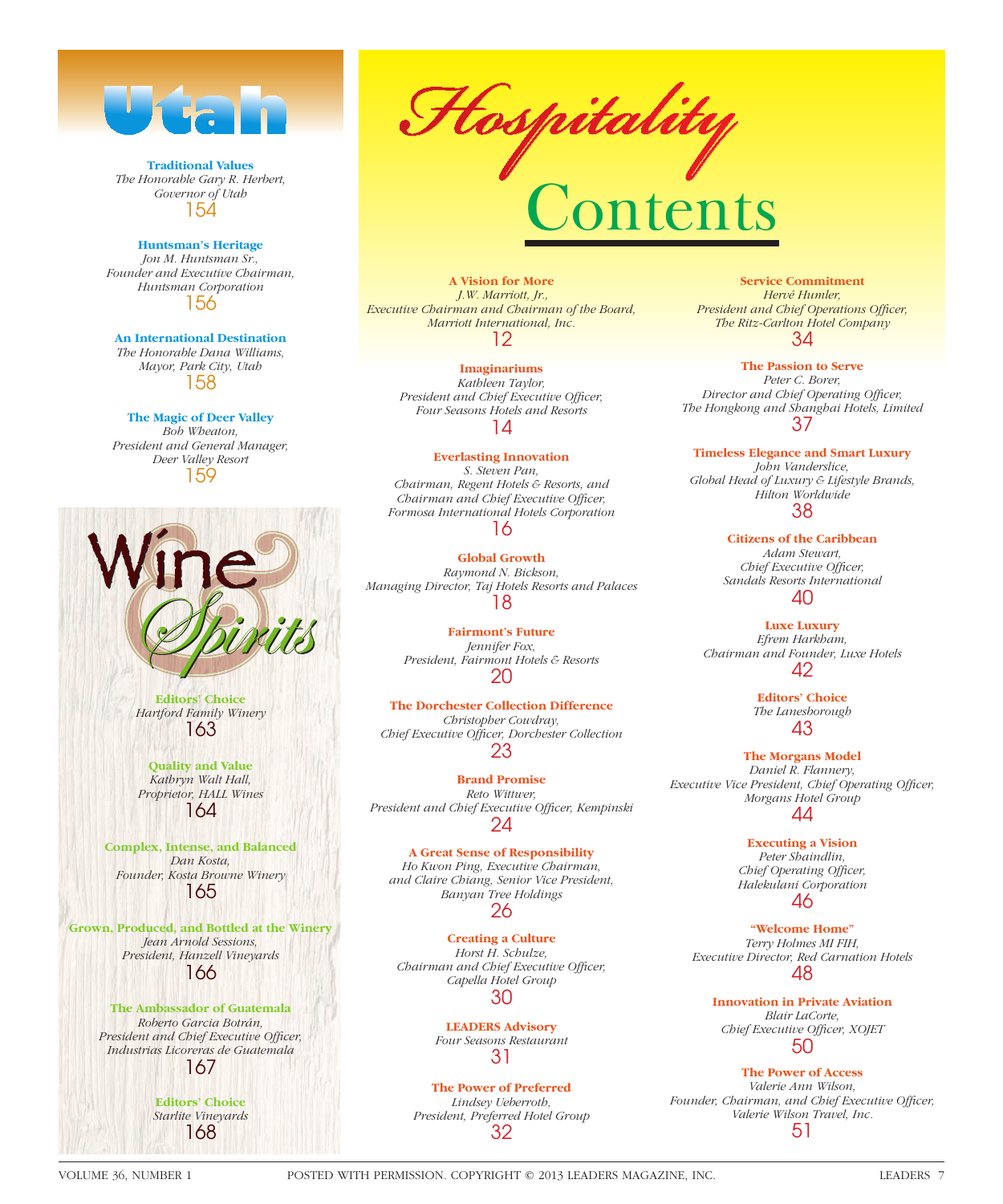

**Traditional Values** *The Honorable Gary R. Herbert, Governor of Utah* 154

**Huntsman's Heritage** *Jon M. Huntsman Sr., Founder and Executive Chairman, Huntsman Corporation* 156

**An International Destination** *The Honorable Dana Williams, Mayor, Park City, Utah* 158

**The Magic of Deer Valley** *Bob Wheaton, President and General Manager, Deer Valley Resort* 159



**Editors' Choice** *Hartford Family Winery* 163

**Quality and Value** *Kathryn Walt Hall, Proprietor, HALL Wines* 164

**Complex, Intense, and Balanced** *Dan Kosta, Founder, Kosta Browne Winery* 165

**Grown, Produced, and Bottled at the Winery** *Jean Arnold Sessions, President, Hanzell Vineyards* 166

> **The Ambassador of Guatemala** *Roberto Garcia Botrán,*  **President and Chief Executive Officer,** *Industrias Licoreras de Guatemala* 167

> > **Editors' Choice** *Starlite Vineyards* 168

Hospitality

**A Vision for More**  *J.W. Marriott, Jr., Executive Chairman and Chairman of the Board, Marriott International, Inc.* 12

> **Imaginariums** *Kathleen Taylor, President and Chief Executive Officer, Four Seasons Hotels and Resorts* 14

**Everlasting Innovation** *S. Steven Pan, Chairman, Regent Hotels & Resorts, and Chairman and Chief Executive Officer, Formosa International Hotels Corporation*

## 16

**Global Growth** *Raymond N. Bickson, Managing Director, Taj Hotels Resorts and Palaces* 18

> **Fairmont's Future** *Jennifer Fox, President, Fairmont Hotels & Resorts* 20

**The Dorchester Collection Difference** *Christopher Cowdray, Chief Executive Offi cer, Dorchester Collection* 23

**Brand Promise** *Reto Wittwer,*  President and Chief Executive Officer, Kempinski 24

**A Great Sense of Responsibility** *Ho Kwon Ping, Executive Chairman, and Claire Chiang, Senior Vice President, Banyan Tree Holdings* 26

**Creating a Culture** *Horst H. Schulze, Chairman and Chief Executive Officer, Capella Hotel Group* 30

> **LEADERS Advisory** *Four Seasons Restaurant* 31

**The Power of Preferred** *Lindsey Ueberroth, President, Preferred Hotel Group* 32

**Service Commitment** *Hervé Humler,*  **President and Chief Operations Officer,** *The Ritz-Carlton Hotel Company* 34

**The Passion to Serve** *Peter C. Borer,*  **Director and Chief Operating Officer,** *The Hongkong and Shanghai Hotels, Limited* 37

**Timeless Elegance and Smart Luxury** *John Vanderslice, Global Head of Luxury & Lifestyle Brands, Hilton Worldwide* 38

> **Citizens of the Caribbean** *Adam Stewart, Chief Executive Officer, Sandals Resorts International*  $\Delta \Omega$

**Luxe Luxury** *Efrem Harkham, Chairman and Founder, Luxe Hotels* 42

> **Editors' Choice** *The Lanesborough* 43

**The Morgans Model** *Daniel R. Flannery, Executive Vice President, Chief Operating Officer, Morgans Hotel Group* 44

> **Executing a Vision** *Peter Shaindlin, Chief Operating Officer, Halekulani Corporation* 46

**"Welcome Home"** *Terry Holmes MI FIH, Executive Director, Red Carnation Hotels* 48

**Innovation in Private Aviation** *Blair LaCorte,*  Chief Executive Officer, XOJET 50

**The Power of Access** *Valerie Ann Wilson,*  Founder, Chairman, and Chief Executive Officer, *Valerie Wilson Travel, Inc.* 51